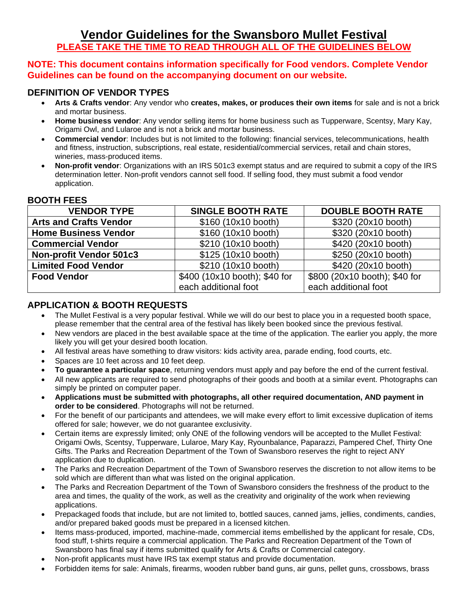# **Vendor Guidelines for the Swansboro Mullet Festival PLEASE TAKE THE TIME TO READ THROUGH ALL OF THE GUIDELINES BELOW**

#### **NOTE: This document contains information specifically for Food vendors. Complete Vendor Guidelines can be found on the accompanying document on our website.**

#### **DEFINITION OF VENDOR TYPES**

- **Arts & Crafts vendor**: Any vendor who **creates, makes, or produces their own items** for sale and is not a brick and mortar business.
- **Home business vendor**: Any vendor selling items for home business such as Tupperware, Scentsy, Mary Kay, Origami Owl, and Lularoe and is not a brick and mortar business.
- **Commercial vendor**: Includes but is not limited to the following: financial services, telecommunications, health and fitness, instruction, subscriptions, real estate, residential/commercial services, retail and chain stores, wineries, mass-produced items.
- **Non-profit vendor**: Organizations with an IRS 501c3 exempt status and are required to submit a copy of the IRS determination letter. Non-profit vendors cannot sell food. If selling food, they must submit a food vendor application.

#### **BOOTH FEES**

| <b>VENDOR TYPE</b>            | <b>SINGLE BOOTH RATE</b>      | <b>DOUBLE BOOTH RATE</b>      |
|-------------------------------|-------------------------------|-------------------------------|
| <b>Arts and Crafts Vendor</b> | \$160 (10x10 booth)           | \$320 (20x10 booth)           |
| <b>Home Business Vendor</b>   | \$160 (10x10 booth)           | \$320 (20x10 booth)           |
| <b>Commercial Vendor</b>      | \$210 (10x10 booth)           | \$420 (20x10 booth)           |
| Non-profit Vendor 501c3       | \$125 (10x10 booth)           | \$250 (20x10 booth)           |
| <b>Limited Food Vendor</b>    | \$210 (10x10 booth)           | \$420 (20x10 booth)           |
| <b>Food Vendor</b>            | \$400 (10x10 booth); \$40 for | \$800 (20x10 booth); \$40 for |
|                               | each additional foot          | each additional foot          |

### **APPLICATION & BOOTH REQUESTS**

- The Mullet Festival is a very popular festival. While we will do our best to place you in a requested booth space, please remember that the central area of the festival has likely been booked since the previous festival.
- New vendors are placed in the best available space at the time of the application. The earlier you apply, the more likely you will get your desired booth location.
- All festival areas have something to draw visitors: kids activity area, parade ending, food courts, etc.
- Spaces are 10 feet across and 10 feet deep.
- **To guarantee a particular space**, returning vendors must apply and pay before the end of the current festival.
- All new applicants are required to send photographs of their goods and booth at a similar event. Photographs can simply be printed on computer paper.
- **Applications must be submitted with photographs, all other required documentation, AND payment in order to be considered**. Photographs will not be returned.
- For the benefit of our participants and attendees, we will make every effort to limit excessive duplication of items offered for sale; however, we do not guarantee exclusivity.
- Certain items are expressly limited; only ONE of the following vendors will be accepted to the Mullet Festival: Origami Owls, Scentsy, Tupperware, Lularoe, Mary Kay, Ryounbalance, Paparazzi, Pampered Chef, Thirty One Gifts. The Parks and Recreation Department of the Town of Swansboro reserves the right to reject ANY application due to duplication.
- The Parks and Recreation Department of the Town of Swansboro reserves the discretion to not allow items to be sold which are different than what was listed on the original application.
- The Parks and Recreation Department of the Town of Swansboro considers the freshness of the product to the area and times, the quality of the work, as well as the creativity and originality of the work when reviewing applications.
- Prepackaged foods that include, but are not limited to, bottled sauces, canned jams, jellies, condiments, candies, and/or prepared baked goods must be prepared in a licensed kitchen.
- Items mass-produced, imported, machine-made, commercial items embellished by the applicant for resale, CDs, food stuff, t-shirts require a commercial application. The Parks and Recreation Department of the Town of Swansboro has final say if items submitted qualify for Arts & Crafts or Commercial category.
- Non-profit applicants must have IRS tax exempt status and provide documentation.
- Forbidden items for sale: Animals, firearms, wooden rubber band guns, air guns, pellet guns, crossbows, brass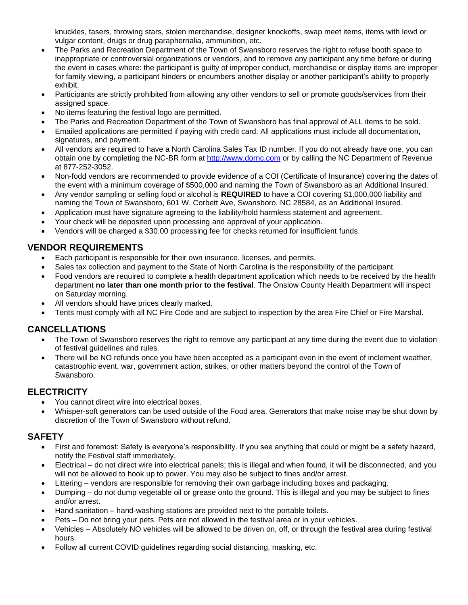knuckles, tasers, throwing stars, stolen merchandise, designer knockoffs, swap meet items, items with lewd or vulgar content, drugs or drug paraphernalia, ammunition, etc.

- The Parks and Recreation Department of the Town of Swansboro reserves the right to refuse booth space to inappropriate or controversial organizations or vendors, and to remove any participant any time before or during the event in cases where: the participant is guilty of improper conduct, merchandise or display items are improper for family viewing, a participant hinders or encumbers another display or another participant's ability to properly exhibit.
- Participants are strictly prohibited from allowing any other vendors to sell or promote goods/services from their assigned space.
- No items featuring the festival logo are permitted.
- The Parks and Recreation Department of the Town of Swansboro has final approval of ALL items to be sold.
- Emailed applications are permitted if paying with credit card. All applications must include all documentation, signatures, and payment.
- All vendors are required to have a North Carolina Sales Tax ID number. If you do not already have one, you can obtain one by completing the NC-BR form at [http://www.dornc.com](http://www.dornc.com/) or by calling the NC Department of Revenue at 877-252-3052.
- Non-fodd vendors are recommended to provide evidence of a COI (Certificate of Insurance) covering the dates of the event with a minimum coverage of \$500,000 and naming the Town of Swansboro as an Additional Insured.
- Any vendor sampling or selling food or alcohol is **REQUIRED** to have a COI covering \$1,000,000 liability and naming the Town of Swansboro, 601 W. Corbett Ave, Swansboro, NC 28584, as an Additional Insured.
- Application must have signature agreeing to the liability/hold harmless statement and agreement.
- Your check will be deposited upon processing and approval of your application.
- Vendors will be charged a \$30.00 processing fee for checks returned for insufficient funds.

### **VENDOR REQUIREMENTS**

- Each participant is responsible for their own insurance, licenses, and permits.
- Sales tax collection and payment to the State of North Carolina is the responsibility of the participant.
- Food vendors are required to complete a health department application which needs to be received by the health department **no later than one month prior to the festival**. The Onslow County Health Department will inspect on Saturday morning.
- All vendors should have prices clearly marked.
- Tents must comply with all NC Fire Code and are subject to inspection by the area Fire Chief or Fire Marshal.

#### **CANCELLATIONS**

- The Town of Swansboro reserves the right to remove any participant at any time during the event due to violation of festival guidelines and rules.
- There will be NO refunds once you have been accepted as a participant even in the event of inclement weather, catastrophic event, war, government action, strikes, or other matters beyond the control of the Town of Swansboro.

#### **ELECTRICITY**

- You cannot direct wire into electrical boxes.
- Whisper-soft generators can be used outside of the Food area. Generators that make noise may be shut down by discretion of the Town of Swansboro without refund.

#### **SAFETY**

- First and foremost: Safety is everyone's responsibility. If you see anything that could or might be a safety hazard, notify the Festival staff immediately.
- Electrical do not direct wire into electrical panels; this is illegal and when found, it will be disconnected, and you will not be allowed to hook up to power. You may also be subject to fines and/or arrest.
- Littering vendors are responsible for removing their own garbage including boxes and packaging.
- Dumping do not dump vegetable oil or grease onto the ground. This is illegal and you may be subject to fines and/or arrest.
- Hand sanitation hand-washing stations are provided next to the portable toilets.
- Pets Do not bring your pets. Pets are not allowed in the festival area or in your vehicles.
- Vehicles Absolutely NO vehicles will be allowed to be driven on, off, or through the festival area during festival hours.
- Follow all current COVID guidelines regarding social distancing, masking, etc.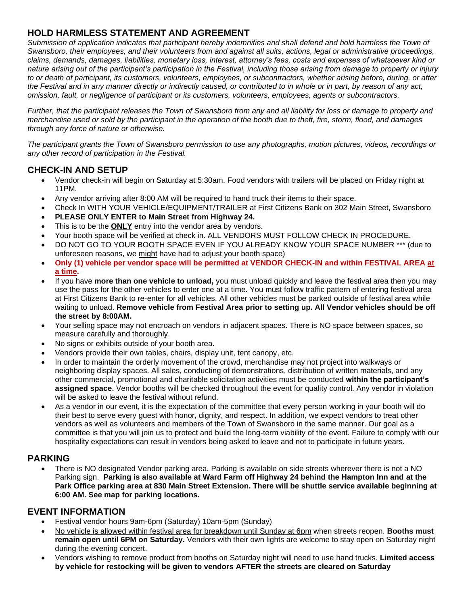### **HOLD HARMLESS STATEMENT AND AGREEMENT**

Submission of application indicates that participant hereby indemnifies and shall defend and hold harmless the Town of *Swansboro, their employees, and their volunteers from and against all suits, actions, legal or administrative proceedings, claims, demands, damages, liabilities, monetary loss, interest, attorney's fees, costs and expenses of whatsoever kind or nature arising out of the participant's participation in the Festival, including those arising from damage to property or injury to or death of participant, its customers, volunteers, employees, or subcontractors, whether arising before, during, or after the Festival and in any manner directly or indirectly caused, or contributed to in whole or in part, by reason of any act, omission, fault, or negligence of participant or its customers, volunteers, employees, agents or subcontractors.*

*Further, that the participant releases the Town of Swansboro from any and all liability for loss or damage to property and merchandise used or sold by the participant in the operation of the booth due to theft, fire, storm, flood, and damages through any force of nature or otherwise.*

*The participant grants the Town of Swansboro permission to use any photographs, motion pictures, videos, recordings or any other record of participation in the Festival.*

### **CHECK-IN AND SETUP**

- Vendor check-in will begin on Saturday at 5:30am. Food vendors with trailers will be placed on Friday night at 11PM.
- Any vendor arriving after 8:00 AM will be required to hand truck their items to their space.
- Check In WITH YOUR VEHICLE/EQUIPMENT/TRAILER at First Citizens Bank on 302 Main Street, Swansboro
- **PLEASE ONLY ENTER to Main Street from Highway 24.**
- This is to be the **ONLY** entry into the vendor area by vendors.
- Your booth space will be verified at check in. ALL VENDORS MUST FOLLOW CHECK IN PROCEDURE.
- DO NOT GO TO YOUR BOOTH SPACE EVEN IF YOU ALREADY KNOW YOUR SPACE NUMBER \*\*\* (due to unforeseen reasons, we might have had to adjust your booth space)
- **Only (1) vehicle per vendor space will be permitted at VENDOR CHECK-IN and within FESTIVAL AREA at a time.**
- If you have **more than one vehicle to unload,** you must unload quickly and leave the festival area then you may use the pass for the other vehicles to enter one at a time. You must follow traffic pattern of entering festival area at First Citizens Bank to re-enter for all vehicles. All other vehicles must be parked outside of festival area while waiting to unload. **Remove vehicle from Festival Area prior to setting up. All Vendor vehicles should be off the street by 8:00AM.**
- Your selling space may not encroach on vendors in adjacent spaces. There is NO space between spaces, so measure carefully and thoroughly.
- No signs or exhibits outside of your booth area.
- Vendors provide their own tables, chairs, display unit, tent canopy, etc.
- In order to maintain the orderly movement of the crowd, merchandise may not project into walkways or neighboring display spaces. All sales, conducting of demonstrations, distribution of written materials, and any other commercial, promotional and charitable solicitation activities must be conducted **within the participant's assigned space**. Vendor booths will be checked throughout the event for quality control. Any vendor in violation will be asked to leave the festival without refund.
- As a vendor in our event, it is the expectation of the committee that every person working in your booth will do their best to serve every guest with honor, dignity, and respect. In addition, we expect vendors to treat other vendors as well as volunteers and members of the Town of Swansboro in the same manner. Our goal as a committee is that you will join us to protect and build the long-term viability of the event. Failure to comply with our hospitality expectations can result in vendors being asked to leave and not to participate in future years.

#### **PARKING**

• There is NO designated Vendor parking area. Parking is available on side streets wherever there is not a NO Parking sign. **Parking is also available at Ward Farm off Highway 24 behind the Hampton Inn and at the Park Office parking area at 830 Main Street Extension. There will be shuttle service available beginning at 6:00 AM. See map for parking locations.**

#### **EVENT INFORMATION**

- Festival vendor hours 9am-6pm (Saturday) 10am-5pm (Sunday)
- No vehicle is allowed within festival area for breakdown until Sunday at 6pm when streets reopen. **Booths must remain open until 6PM on Saturday.** Vendors with their own lights are welcome to stay open on Saturday night during the evening concert.
- Vendors wishing to remove product from booths on Saturday night will need to use hand trucks. **Limited access by vehicle for restocking will be given to vendors AFTER the streets are cleared on Saturday**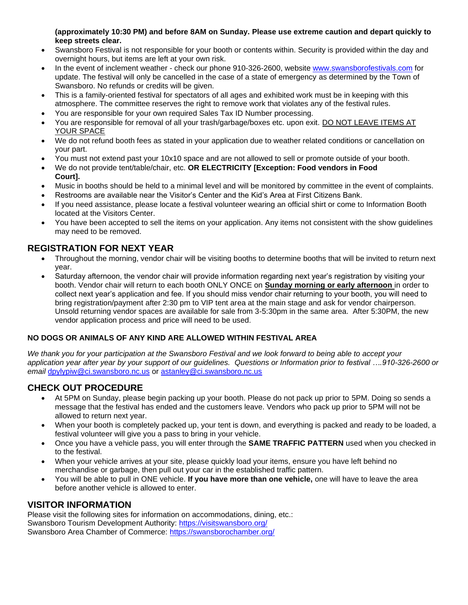**(approximately 10:30 PM) and before 8AM on Sunday. Please use extreme caution and depart quickly to keep streets clear.** 

- Swansboro Festival is not responsible for your booth or contents within. Security is provided within the day and overnight hours, but items are left at your own risk.
- In the event of inclement weather check our phone 910-326-2600, website [www.swansborofestivals.com](http://www.swansborofestivals.com/) for update. The festival will only be cancelled in the case of a state of emergency as determined by the Town of Swansboro. No refunds or credits will be given.
- This is a family-oriented festival for spectators of all ages and exhibited work must be in keeping with this atmosphere. The committee reserves the right to remove work that violates any of the festival rules.
- You are responsible for your own required Sales Tax ID Number processing.
- You are responsible for removal of all your trash/garbage/boxes etc. upon exit. DO NOT LEAVE ITEMS AT YOUR SPACE
- We do not refund booth fees as stated in your application due to weather related conditions or cancellation on your part.
- You must not extend past your 10x10 space and are not allowed to sell or promote outside of your booth.
- We do not provide tent/table/chair, etc. **OR ELECTRICITY [Exception: Food vendors in Food Court].**
- Music in booths should be held to a minimal level and will be monitored by committee in the event of complaints.
- Restrooms are available near the Visitor's Center and the Kid's Area at First Citizens Bank.
- If you need assistance, please locate a festival volunteer wearing an official shirt or come to Information Booth located at the Visitors Center.
- You have been accepted to sell the items on your application. Any items not consistent with the show guidelines may need to be removed.

### **REGISTRATION FOR NEXT YEAR**

- Throughout the morning, vendor chair will be visiting booths to determine booths that will be invited to return next year.
- Saturday afternoon, the vendor chair will provide information regarding next year's registration by visiting your booth. Vendor chair will return to each booth ONLY ONCE on **Sunday morning or early afternoon** in order to collect next year's application and fee. If you should miss vendor chair returning to your booth, you will need to bring registration/payment after 2:30 pm to VIP tent area at the main stage and ask for vendor chairperson. Unsold returning vendor spaces are available for sale from 3-5:30pm in the same area. After 5:30PM, the new vendor application process and price will need to be used.

#### **NO DOGS OR ANIMALS OF ANY KIND ARE ALLOWED WITHIN FESTIVAL AREA**

*We thank you for your participation at the Swansboro Festival and we look forward to being able to accept your application year after year by your support of our guidelines.**Questions or Information prior to festival ….910-326-2600 or email* [dpylypiw@ci.swansboro.nc.us](mailto:dpylypiw@ci.swansboro.nc.us) or [astanley@ci.swansboro.nc.us](mailto:astanley@ci.swansboro.nc.us)

### **CHECK OUT PROCEDURE**

- At 5PM on Sunday, please begin packing up your booth. Please do not pack up prior to 5PM. Doing so sends a message that the festival has ended and the customers leave. Vendors who pack up prior to 5PM will not be allowed to return next year.
- When your booth is completely packed up, your tent is down, and everything is packed and ready to be loaded, a festival volunteer will give you a pass to bring in your vehicle.
- Once you have a vehicle pass, you will enter through the **SAME TRAFFIC PATTERN** used when you checked in to the festival.
- When your vehicle arrives at your site, please quickly load your items, ensure you have left behind no merchandise or garbage, then pull out your car in the established traffic pattern.
- You will be able to pull in ONE vehicle. **If you have more than one vehicle,** one will have to leave the area before another vehicle is allowed to enter.

#### **VISITOR INFORMATION**

Please visit the following sites for information on accommodations, dining, etc.: Swansboro Tourism Development Authority:<https://visitswansboro.org/> Swansboro Area Chamber of Commerce:<https://swansborochamber.org/>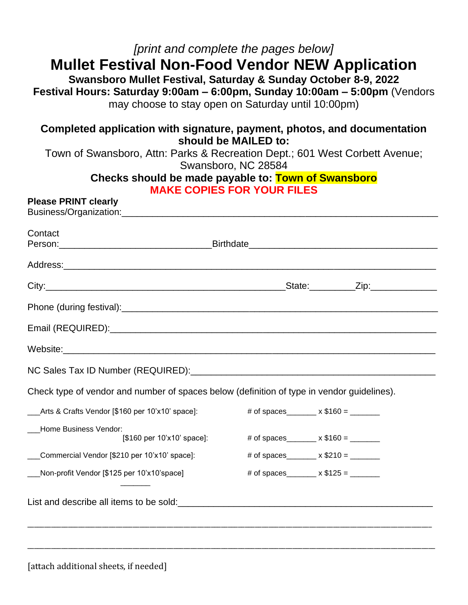# *[print and complete the pages below]* **Mullet Festival Non-Food Vendor NEW Application**

**Swansboro Mullet Festival, Saturday & Sunday October 8-9, 2022 Festival Hours: Saturday 9:00am – 6:00pm, Sunday 10:00am – 5:00pm** (Vendors may choose to stay open on Saturday until 10:00pm)

## **Completed application with signature, payment, photos, and documentation should be MAILED to:**

Town of Swansboro, Attn: Parks & Recreation Dept.; 601 West Corbett Avenue; Swansboro, NC 28584

#### **Checks should be made payable to: Town of Swansboro MAKE COPIES FOR YOUR FILES**

#### **Please PRINT clearly**  $Buchoce/Ora$

| Contact                                                                                                                                                                                                                              |                                            |
|--------------------------------------------------------------------------------------------------------------------------------------------------------------------------------------------------------------------------------------|--------------------------------------------|
|                                                                                                                                                                                                                                      |                                            |
|                                                                                                                                                                                                                                      |                                            |
| Phone (during festival): <u>contract and contract and contract and contract and contract and contract and contract and contract and contract and contract and contract and contract and contract and contract and contract and c</u> |                                            |
|                                                                                                                                                                                                                                      |                                            |
|                                                                                                                                                                                                                                      |                                            |
|                                                                                                                                                                                                                                      |                                            |
| Check type of vendor and number of spaces below (definition of type in vendor guidelines).                                                                                                                                           |                                            |
| Arts & Crafts Vendor [\$160 per 10'x10' space]:                                                                                                                                                                                      |                                            |
| Home Business Vendor:<br>[\$160 per 10'x10' space]:                                                                                                                                                                                  | # of spaces_______ $\times$ \$160 = ______ |
| Commercial Vendor [\$210 per 10'x10' space]:                                                                                                                                                                                         | # of spaces_______ $\times$ \$210 = ______ |
| Non-profit Vendor [\$125 per 10'x10'space]                                                                                                                                                                                           | # of spaces_______ x $$125 =$ _______      |
| List and describe all items to be sold:<br><u>List and describe all items to be sold:</u>                                                                                                                                            |                                            |

[attach additional sheets, if needed]